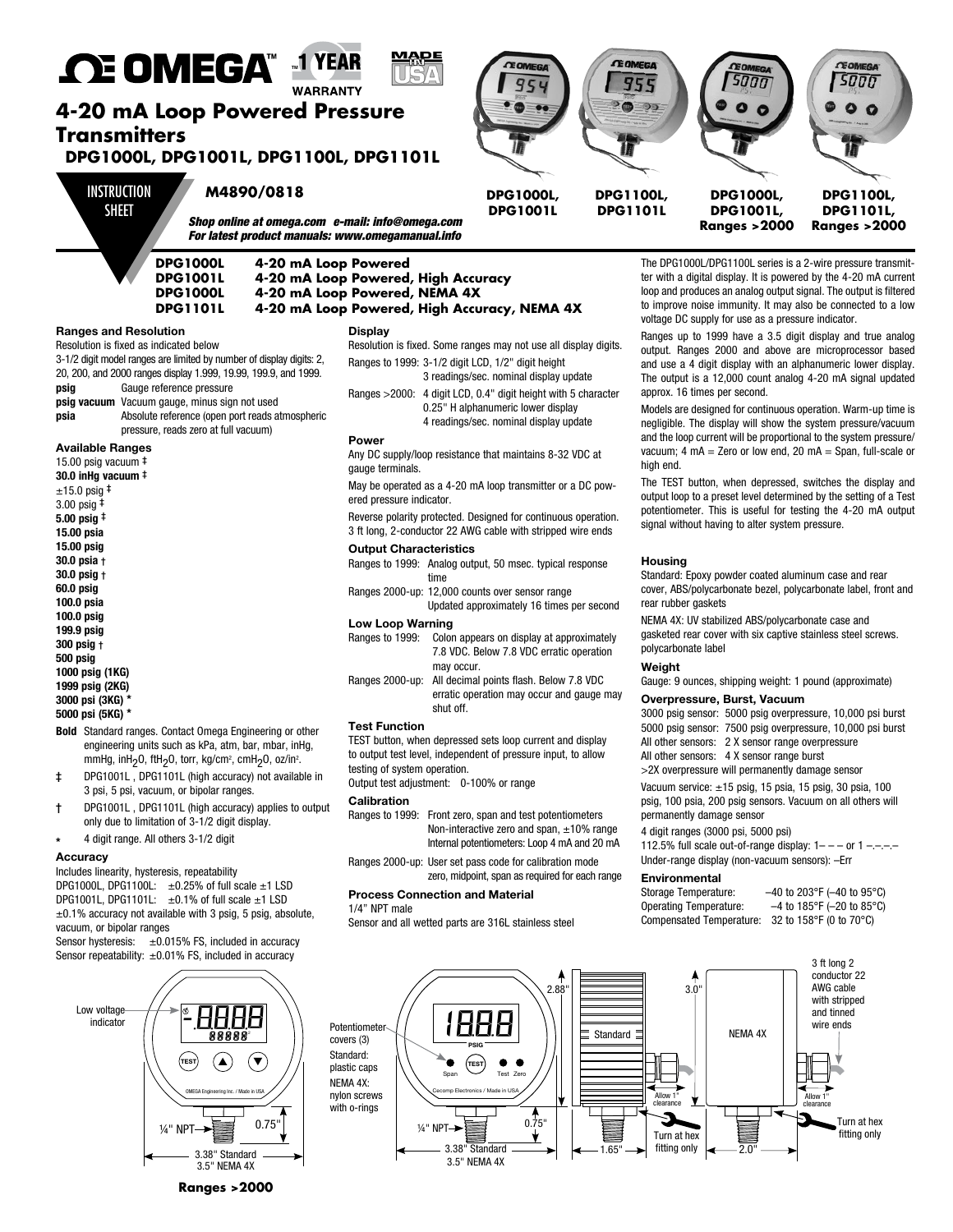

NEMA 4X: UV stabilized ABS/polycarbonate case and gasketed rear cover with six captive stainless steel screws. polycarbonate label

#### **Weight**

Gauge: 9 ounces, shipping weight: 1 pound (approximate)

#### **Overpressure, Burst, Vacuum**

3000 psig sensor: 5000 psig overpressure, 10,000 psi burst 5000 psig sensor: 7500 psig overpressure, 10,000 psi burst All other sensors: 2 X sensor range overpressure All other sensors: 4 X sensor range burst

>2X overpressure will permanently damage sensor

Vacuum service: ±15 psig, 15 psia, 15 psig, 30 psia, 100 psig, 100 psia, 200 psig sensors. Vacuum on all others will permanently damage sensor

#### 4 digit ranges (3000 psi, 5000 psi)

112.5% full scale out-of-range display:  $1-$  – or  $1-$  – – – Under-range display (non-vacuum sensors): –Err

#### **Environmental**

| Storage Temperature:            | $-40$ to 203°F ( $-40$ to 95°C) |
|---------------------------------|---------------------------------|
| <b>Operating Temperature:</b>   | $-4$ to 185°F (-20 to 85°C)     |
| <b>Compensated Temperature:</b> | 32 to 158°F (0 to 70°C)         |



# **Low Loop Warning**<br>**Ranges to 1999:** Color

- Colon appears on display at approximately 7.8 VDC. Below 7.8 VDC erratic operation may occur. Ranges 2000-up: All decimal points flash. Below 7.8 VDC
- erratic operation may occur and gauge may shut off.

# **Test Function**

TEST button, when depressed sets loop current and display to output test level, independent of pressure input, to allow testing of system operation.

Output test adjustment: 0-100% or range

- Ranges to 1999: Front zero, span and test potentiometers Non-interactive zero and span, ±10% range Internal potentiometers: Loop 4 mA and 20 mA
- zero, midpoint, span as required for each range

#### **Process Connection and Material**

1/4" NPT male

Sensor and all wetted parts are 316L stainless steel

vacuum, or bipolar ranges Sensor hysteresis:  $\pm 0.015\%$  FS, included in accuracy Sensor repeatability: ±0.01% FS, included in accuracy

DPG1000L, DPG1100L:  $\pm 0.25\%$  of full scale  $\pm 1$  LSD DPG1001L, DPG1101L:  $\pm 0.1\%$  of full scale  $\pm 1$  LSD  $±0.1%$  accuracy not available with 3 psig, 5 psig, absolute,

Includes linearity, hysteresis, repeatability

**Bold** Standard ranges. Contact Omega Engineering or other engineering units such as kPa, atm, bar, mbar, inHg, mmHg, inH<sub>2</sub>O, ftH<sub>2</sub>O, torr, kg/cm<sup>2</sup>, cmH<sub>2</sub>O, oz/in<sup>2</sup>. ‡ DPG1001L , DPG1101L (high accuracy) not available in 3 psi, 5 psi, vacuum, or bipolar ranges. † DPG1001L , DPG1101L (high accuracy) applies to output only due to limitation of 3-1/2 digit display. **\*** 4 digit range. All others 3-1/2 digit

**199.9 psig 300 psig** † **500 psig 1000 psig (1KG) 1999 psig (2KG) 3000 psi (3KG) \* 5000 psi (5KG) \***

**Accuracy**

# Low voltage 88888.<br>**1 A A A** 88 indicator  $\begin{pmatrix} \text{test} \end{pmatrix}$   $\begin{pmatrix} \text{A} \end{pmatrix}$   $\begin{pmatrix} \text{v} \end{pmatrix}$ OMEGA Engineering Inc. / Made in USA  $0.75$ 3.38" Standard 3.5" NEMA 4X

**Ranges >2000**

**Calibration** Ranges 2000-up: User set pass code for calibration mode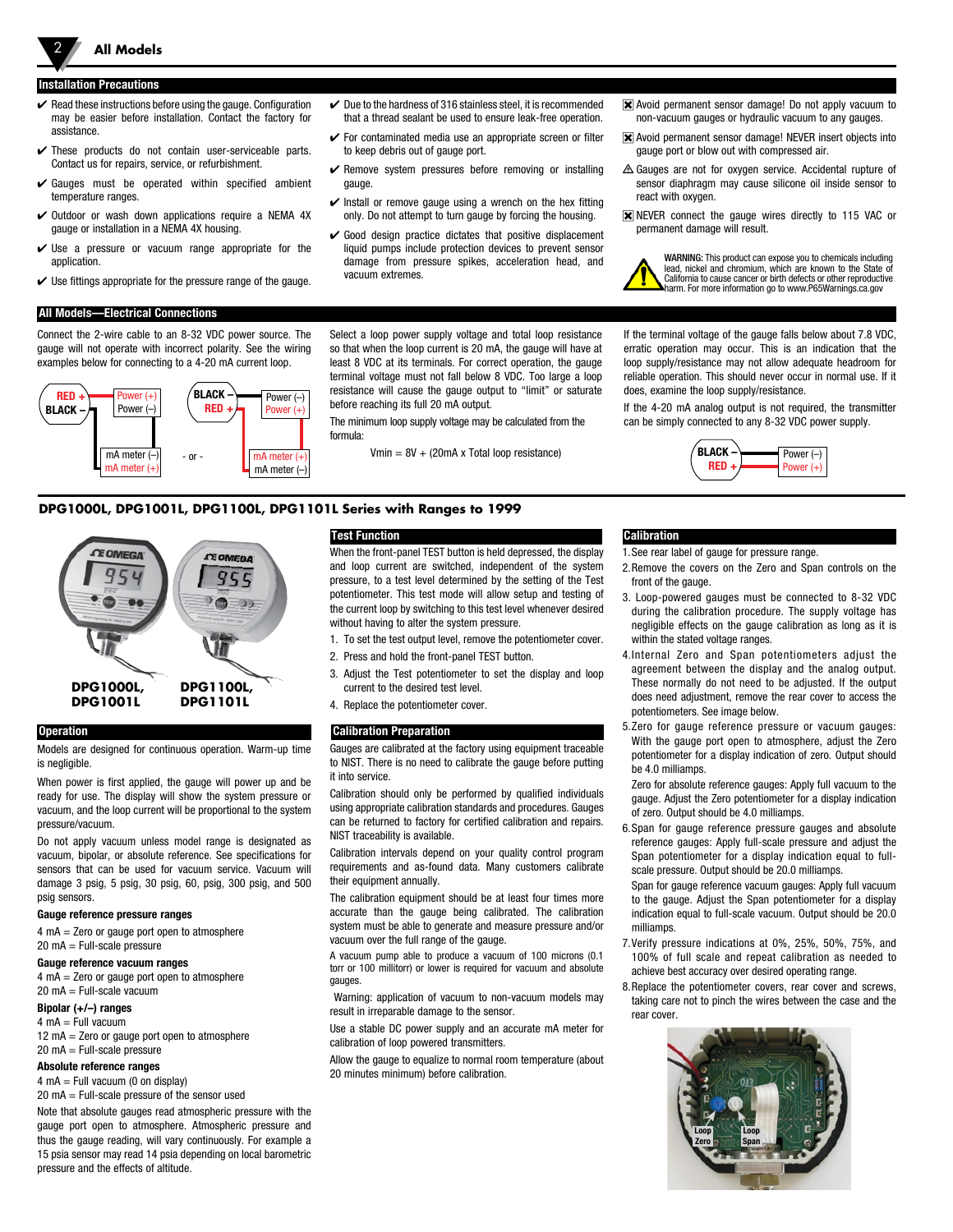#### **Installation Precautions**

2 **All Models**

- $\blacktriangleright$  Read these instructions before using the gauge. Configuration may be easier before installation. Contact the factory for assistance.
- $\checkmark$  These products do not contain user-serviceable parts. Contact us for repairs, service, or refurbishment.
- $\checkmark$  Gauges must be operated within specified ambient temperature ranges.
- $\vee$  Outdoor or wash down applications require a NEMA 4X gauge or installation in a NEMA 4X housing.
- $\checkmark$  Use a pressure or vacuum range appropriate for the application.
- $\checkmark$  Use fittings appropriate for the pressure range of the gauge.

#### **All Models—Electrical Connections**

Connect the 2-wire cable to an 8-32 VDC power source. The gauge will not operate with incorrect polarity. See the wiring examples below for connecting to a 4-20 mA current loop.



- $\vee$  Due to the hardness of 316 stainless steel, it is recommended that a thread sealant be used to ensure leak-free operation.
- $\checkmark$  For contaminated media use an appropriate screen or filter to keep debris out of gauge port.
- $\checkmark$  Remove system pressures before removing or installing gauge.
- $\triangleright$  Install or remove gauge using a wrench on the hex fitting only. Do not attempt to turn gauge by forcing the housing.
- $\checkmark$  Good design practice dictates that positive displacement liquid pumps include protection devices to prevent sensor damage from pressure spikes, acceleration head, and vacuum extremes.
- Avoid permanent sensor damage! Do not apply vacuum to non-vacuum gauges or hydraulic vacuum to any gauges.
- Avoid permanent sensor damage! NEVER insert objects into gauge port or blow out with compressed air.
- Gauges are not for oxygen service. Accidental rupture of sensor diaphragm may cause silicone oil inside sensor to react with oxygen.
- **X** NEVER connect the gauge wires directly to 115 VAC or permanent damage will result.

WARNING: This product can expose you to chemicals including lead, nickel and chromium, which are known to the State of California to cause cancer or birth defects or other reproductive harm. For more information go to www.P65Warnings.ca.gov

Select a loop power supply voltage and total loop resistance so that when the loop current is 20 mA, the gauge will have at least 8 VDC at its terminals. For correct operation, the gauge terminal voltage must not fall below 8 VDC. Too large a loop resistance will cause the gauge output to "limit" or saturate

before reaching its full 20 mA output. The minimum loop supply voltage may be calculated from the

formula:

 $-\text{or}$   $\boxed{\text{mA meter (+)}}$  Vmin = 8V + (20mA x Total loop resistance)  $(400 \text{ Hz})$  BLACK  $\rightarrow$  Power (-)

If the terminal voltage of the gauge falls below about 7.8 VDC, erratic operation may occur. This is an indication that the loop supply/resistance may not allow adequate headroom for reliable operation. This should never occur in normal use. If it does, examine the loop supply/resistance.

If the 4-20 mA analog output is not required, the transmitter can be simply connected to any 8-32 VDC power supply.



### **DPG1000L, DPG1001L, DPG1100L, DPG1101L Series with Ranges to 1999**



#### **Operation**

Models are designed for continuous operation. Warm-up time is negligible.

When power is first applied, the gauge will power up and be ready for use. The display will show the system pressure or vacuum, and the loop current will be proportional to the system pressure/vacuum.

Do not apply vacuum unless model range is designated as vacuum, bipolar, or absolute reference. See specifications for sensors that can be used for vacuum service. Vacuum will damage 3 psig, 5 psig, 30 psig, 60, psig, 300 psig, and 500 psig sensors.

#### **Gauge reference pressure ranges**

4 mA = Zero or gauge port open to atmosphere 20 mA = Full-scale pressure

#### **Gauge reference vacuum ranges**

4 mA = Zero or gauge port open to atmosphere 20 mA = Full-scale vacuum

#### **Bipolar (+/–) ranges**

 $4 \text{ mA} = \text{Full vacuum}$ 

 $12 \text{ mA} =$  Zero or gauge port open to atmosphere  $20 \text{ mA} = \text{Full-scale pressure}$ 

#### **Absolute reference ranges**

 $4 \text{ mA} = \text{Full vacuum}$  (0 on display) 20 mA = Full-scale pressure of the sensor used

Note that absolute gauges read atmospheric pressure with the

gauge port open to atmosphere. Atmospheric pressure and thus the gauge reading, will vary continuously. For example a 15 psia sensor may read 14 psia depending on local barometric pressure and the effects of altitude.

### **Test Function**

When the front-panel TEST button is held depressed, the display and loop current are switched, independent of the system pressure, to a test level determined by the setting of the Test potentiometer. This test mode will allow setup and testing of the current loop by switching to this test level whenever desired without having to alter the system pressure.

- 1. To set the test output level, remove the potentiometer cover.
- 2. Press and hold the front-panel TEST button.
- 3. Adjust the Test potentiometer to set the display and loop current to the desired test level.
- 4. Replace the potentiometer cover.

#### **Calibration Preparation**

Gauges are calibrated at the factory using equipment traceable to NIST. There is no need to calibrate the gauge before putting it into service.

Calibration should only be performed by qualified individuals using appropriate calibration standards and procedures. Gauges can be returned to factory for certified calibration and repairs. NIST traceability is available.

Calibration intervals depend on your quality control program requirements and as-found data. Many customers calibrate their equipment annually.

The calibration equipment should be at least four times more accurate than the gauge being calibrated. The calibration system must be able to generate and measure pressure and/or vacuum over the full range of the gauge.

A vacuum pump able to produce a vacuum of 100 microns (0.1 torr or 100 millitorr) or lower is required for vacuum and absolute gauges.

 Warning: application of vacuum to non-vacuum models may result in irreparable damage to the sensor.

Use a stable DC power supply and an accurate mA meter for calibration of loop powered transmitters.

Allow the gauge to equalize to normal room temperature (about 20 minutes minimum) before calibration.

### **Calibration**

1.See rear label of gauge for pressure range.

- 2.Remove the covers on the Zero and Span controls on the front of the gauge.
- 3. Loop-powered gauges must be connected to 8-32 VDC during the calibration procedure. The supply voltage has negligible effects on the gauge calibration as long as it is within the stated voltage ranges.
- 4.Internal Zero and Span potentiometers adjust the agreement between the display and the analog output. These normally do not need to be adjusted. If the output does need adjustment, remove the rear cover to access the potentiometers. See image below.
- 5.Zero for gauge reference pressure or vacuum gauges: With the gauge port open to atmosphere, adjust the Zero potentiometer for a display indication of zero. Output should be 4.0 milliamps.

Zero for absolute reference gauges: Apply full vacuum to the gauge. Adjust the Zero potentiometer for a display indication of zero. Output should be 4.0 milliamps.

6.Span for gauge reference pressure gauges and absolute reference gauges: Apply full-scale pressure and adjust the Span potentiometer for a display indication equal to fullscale pressure. Output should be 20.0 milliamps.

Span for gauge reference vacuum gauges: Apply full vacuum to the gauge. Adjust the Span potentiometer for a display indication equal to full-scale vacuum. Output should be 20.0 milliamps.

- 7.Verify pressure indications at 0%, 25%, 50%, 75%, and 100% of full scale and repeat calibration as needed to achieve best accuracy over desired operating range.
- 8.Replace the potentiometer covers, rear cover and screws, taking care not to pinch the wires between the case and the rear cover.

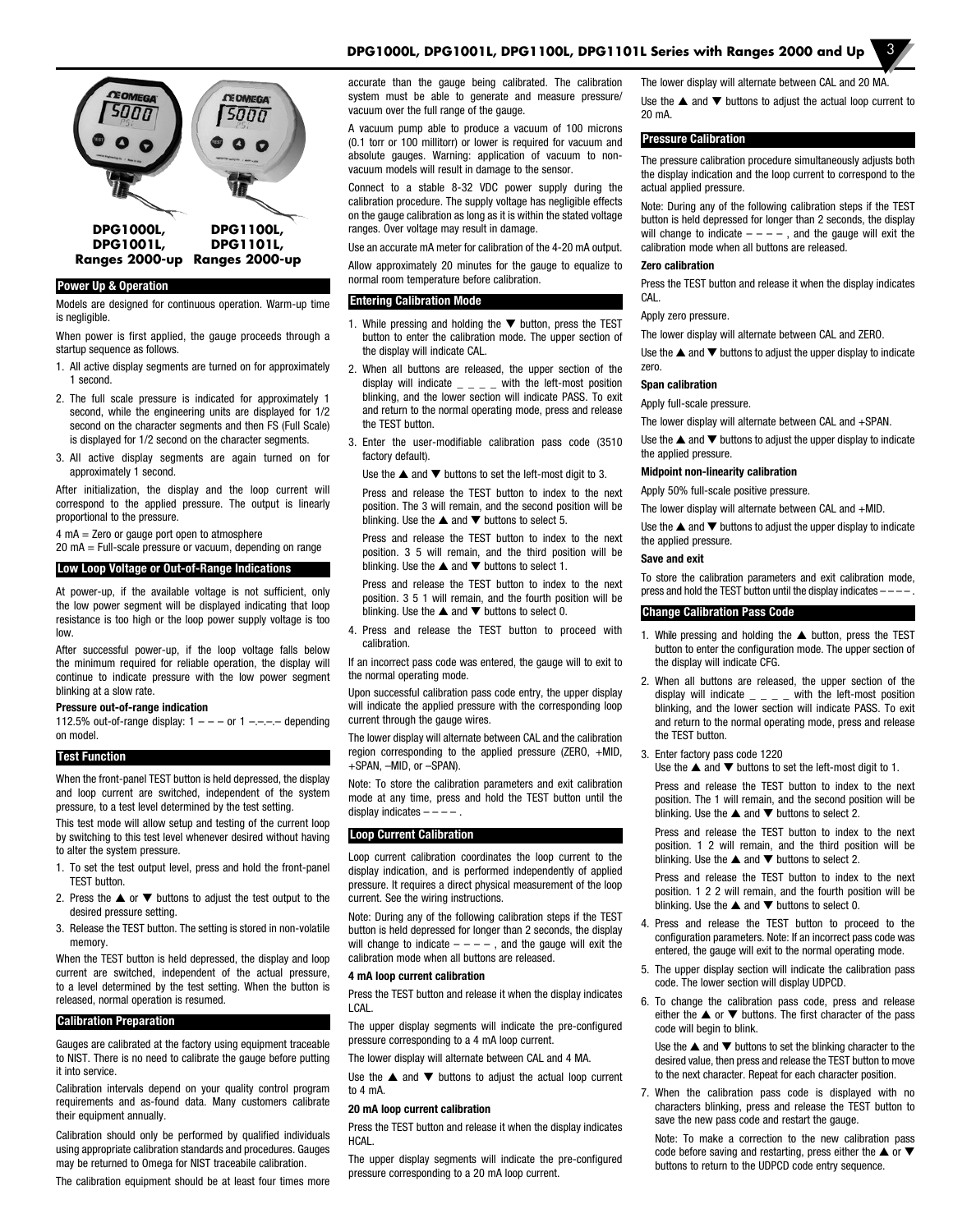# **DPG1000L, DPG1001L, DPG1100L, DPG1101L Series with Ranges 2000 and Up** 3



#### **Power Up & Operation**

Models are designed for continuous operation. Warm-up time is negligible.

When power is first applied, the gauge proceeds through a startup sequence as follows.

- 1. All active display segments are turned on for approximately 1 second.
- 2. The full scale pressure is indicated for approximately 1 second, while the engineering units are displayed for 1/2 second on the character segments and then FS (Full Scale) is displayed for 1/2 second on the character segments.
- 3. All active display segments are again turned on for approximately 1 second.

After initialization, the display and the loop current will correspond to the applied pressure. The output is linearly proportional to the pressure.

4 mA = Zero or gauge port open to atmosphere

20 mA = Full-scale pressure or vacuum, depending on range

#### **Low Loop Voltage or Out-of-Range Indications**

At power-up, if the available voltage is not sufficient, only the low power segment will be displayed indicating that loop resistance is too high or the loop power supply voltage is too low.

After successful power-up, if the loop voltage falls below the minimum required for reliable operation, the display will continue to indicate pressure with the low power segment blinking at a slow rate.

#### **Pressure out-of-range indication**

112.5% out-of-range display:  $1 - - -$  or  $1 - - -$  depending on model.

#### **Test Function**

When the front-panel TEST button is held depressed, the display and loop current are switched, independent of the system pressure, to a test level determined by the test setting.

This test mode will allow setup and testing of the current loop by switching to this test level whenever desired without having to alter the system pressure.

- 1. To set the test output level, press and hold the front-panel TEST button.
- 2. Press the  $\blacktriangle$  or  $\nabla$  buttons to adjust the test output to the desired pressure setting.
- 3. Release the TEST button. The setting is stored in non-volatile memory.

When the TEST button is held depressed, the display and loop current are switched, independent of the actual pressure, to a level determined by the test setting. When the button is released, normal operation is resumed.

#### **Calibration Preparation**

Gauges are calibrated at the factory using equipment traceable to NIST. There is no need to calibrate the gauge before putting it into service.

Calibration intervals depend on your quality control program requirements and as-found data. Many customers calibrate their equipment annually.

Calibration should only be performed by qualified individuals using appropriate calibration standards and procedures. Gauges may be returned to Omega for NIST traceabile calibration.

The calibration equipment should be at least four times more

accurate than the gauge being calibrated. The calibration system must be able to generate and measure pressure/ vacuum over the full range of the gauge.

A vacuum pump able to produce a vacuum of 100 microns (0.1 torr or 100 millitorr) or lower is required for vacuum and absolute gauges. Warning: application of vacuum to nonvacuum models will result in damage to the sensor.

Connect to a stable 8-32 VDC power supply during the calibration procedure. The supply voltage has negligible effects on the gauge calibration as long as it is within the stated voltage ranges. Over voltage may result in damage.

Use an accurate mA meter for calibration of the 4-20 mA output. Allow approximately 20 minutes for the gauge to equalize to normal room temperature before calibration.

#### **Entering Calibration Mode**

- 1. While pressing and holding the  $\blacktriangledown$  button, press the TEST button to enter the calibration mode. The upper section of the display will indicate CAL.
- 2. When all buttons are released, the upper section of the display will indicate  $\qquad \_ \_ \_ \_$  with the left-most position blinking, and the lower section will indicate PASS. To exit and return to the normal operating mode, press and release the TEST button.
- 3. Enter the user-modifiable calibration pass code (3510 factory default).

Use the  $\triangle$  and  $\nabla$  buttons to set the left-most digit to 3.

Press and release the TEST button to index to the next position. The 3 will remain, and the second position will be blinking. Use the  $\blacktriangle$  and  $\nabla$  buttons to select 5.

Press and release the TEST button to index to the next position. 3 5 will remain, and the third position will be blinking. Use the  $\blacktriangle$  and  $\nabla$  buttons to select 1.

Press and release the TEST button to index to the next position. 3 5 1 will remain, and the fourth position will be blinking. Use the  $\triangle$  and  $\nabla$  buttons to select 0.

4. Press and release the TEST button to proceed with calibration.

If an incorrect pass code was entered, the gauge will to exit to the normal operating mode.

Upon successful calibration pass code entry, the upper display will indicate the applied pressure with the corresponding loop current through the gauge wires.

The lower display will alternate between CAL and the calibration region corresponding to the applied pressure (ZERO, +MID, +SPAN, –MID, or –SPAN).

Note: To store the calibration parameters and exit calibration mode at any time, press and hold the TEST button until the display indicates  $---$ 

#### **Loop Current Calibration**

Loop current calibration coordinates the loop current to the display indication, and is performed independently of applied pressure. It requires a direct physical measurement of the loop current. See the wiring instructions.

Note: During any of the following calibration steps if the TEST button is held depressed for longer than 2 seconds, the display will change to indicate  $---$ , and the gauge will exit the calibration mode when all buttons are released.

#### **4 mA loop current calibration**

Press the TEST button and release it when the display indicates LCAL.

The upper display segments will indicate the pre-configured pressure corresponding to a 4 mA loop current.

The lower display will alternate between CAL and 4 MA.

Use the  $\blacktriangle$  and  $\nabla$  buttons to adjust the actual loop current to 4 mA.

#### **20 mA loop current calibration**

Press the TEST button and release it when the display indicates HCAL.

The upper display segments will indicate the pre-configured pressure corresponding to a 20 mA loop current.

The lower display will alternate between CAL and 20 MA. Use the  $\triangle$  and  $\nabla$  buttons to adjust the actual loop current to 20 mA.

#### **Pressure Calibration**

The pressure calibration procedure simultaneously adjusts both the display indication and the loop current to correspond to the actual applied pressure.

Note: During any of the following calibration steps if the TEST button is held depressed for longer than 2 seconds, the display will change to indicate  $---$ , and the gauge will exit the calibration mode when all buttons are released.

#### **Zero calibration**

Press the TEST button and release it when the display indicates CAL.

#### Apply zero pressure.

The lower display will alternate between CAL and ZERO.

Use the  $\blacktriangle$  and  $\nabla$  buttons to adjust the upper display to indicate zero.

#### **Span calibration**

Apply full-scale pressure.

The lower display will alternate between CAL and +SPAN.

Use the  $\triangle$  and  $\nabla$  buttons to adjust the upper display to indicate the applied pressure.

#### **Midpoint non-linearity calibration**

Apply 50% full-scale positive pressure.

The lower display will alternate between CAL and +MID.

Use the  $\blacktriangle$  and  $\nabla$  buttons to adjust the upper display to indicate the applied pressure.

#### **Save and exit**

To store the calibration parameters and exit calibration mode, press and hold the TEST button until the display indicates - -

#### **Change Calibration Pass Code**

- 1. While pressing and holding the  $\triangle$  button, press the TEST button to enter the configuration mode. The upper section of the display will indicate CFG.
- 2. When all buttons are released, the upper section of the display will indicate  $\angle$   $\angle$   $\angle$   $\angle$   $\angle$  with the left-most position blinking, and the lower section will indicate PASS. To exit and return to the normal operating mode, press and release the TEST button.
- 3. Enter factory pass code 1220

Use the  $\triangle$  and  $\nabla$  buttons to set the left-most digit to 1.

Press and release the TEST button to index to the next position. The 1 will remain, and the second position will be blinking. Use the  $\blacktriangle$  and  $\nabla$  buttons to select 2.

Press and release the TEST button to index to the next position. 1 2 will remain, and the third position will be blinking. Use the  $\triangle$  and  $\nabla$  buttons to select 2.

Press and release the TEST button to index to the next position. 1 2 2 will remain, and the fourth position will be blinking. Use the  $\blacktriangle$  and  $\nabla$  buttons to select 0.

- 4. Press and release the TEST button to proceed to the configuration parameters. Note: If an incorrect pass code was entered, the gauge will exit to the normal operating mode.
- 5. The upper display section will indicate the calibration pass code. The lower section will display UDPCD.
- 6. To change the calibration pass code, press and release either the  $\triangle$  or  $\nabla$  buttons. The first character of the pass code will begin to blink.

Use the  $\triangle$  and  $\nabla$  buttons to set the blinking character to the desired value, then press and release the TEST button to move to the next character. Repeat for each character position.

7. When the calibration pass code is displayed with no characters blinking, press and release the TEST button to save the new pass code and restart the gauge.

Note: To make a correction to the new calibration pass code before saving and restarting, press either the  $\blacktriangle$  or  $\blacktriangledown$ buttons to return to the UDPCD code entry sequence.